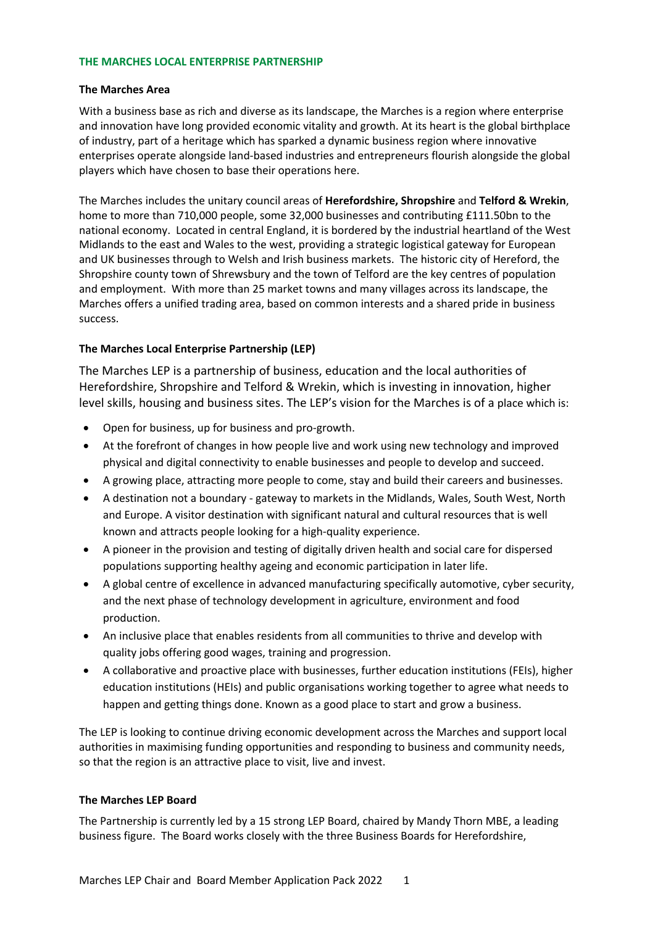## **THE MARCHES LOCAL ENTERPRISE PARTNERSHIP**

## **The Marches Area**

With a business base as rich and diverse as its landscape, the Marches is a region where enterprise and innovation have long provided economic vitality and growth. At its heart is the global birthplace of industry, part of a heritage which has sparked a dynamic business region where innovative enterprises operate alongside land-based industries and entrepreneurs flourish alongside the global players which have chosen to base their operations here.

The Marches includes the unitary council areas of **Herefordshire, Shropshire** and **Telford & Wrekin**, home to more than 710,000 people, some 32,000 businesses and contributing £111.50bn to the national economy. Located in central England, it is bordered by the industrial heartland of the West Midlands to the east and Wales to the west, providing a strategic logistical gateway for European and UK businesses through to Welsh and Irish business markets. The historic city of Hereford, the Shropshire county town of Shrewsbury and the town of Telford are the key centres of population and employment. With more than 25 market towns and many villages across its landscape, the Marches offers a unified trading area, based on common interests and a shared pride in business success.

## **The Marches Local Enterprise Partnership (LEP)**

The Marches LEP is a partnership of business, education and the local authorities of Herefordshire, Shropshire and Telford & Wrekin, which is investing in innovation, higher level skills, housing and business sites. The LEP's vision for the Marches is of a place which is:

- Open for business, up for business and pro-growth.
- At the forefront of changes in how people live and work using new technology and improved physical and digital connectivity to enable businesses and people to develop and succeed.
- A growing place, attracting more people to come, stay and build their careers and businesses.
- A destination not a boundary gateway to markets in the Midlands, Wales, South West, North and Europe. A visitor destination with significant natural and cultural resources that is well known and attracts people looking for a high-quality experience.
- A pioneer in the provision and testing of digitally driven health and social care for dispersed populations supporting healthy ageing and economic participation in later life.
- A global centre of excellence in advanced manufacturing specifically automotive, cyber security, and the next phase of technology development in agriculture, environment and food production.
- An inclusive place that enables residents from all communities to thrive and develop with quality jobs offering good wages, training and progression.
- A collaborative and proactive place with businesses, further education institutions (FEIs), higher education institutions (HEIs) and public organisations working together to agree what needs to happen and getting things done. Known as a good place to start and grow a business.

The LEP is looking to continue driving economic development across the Marches and support local authorities in maximising funding opportunities and responding to business and community needs, so that the region is an attractive place to visit, live and invest.

## **The Marches LEP Board**

The Partnership is currently led by a 15 strong LEP Board, chaired by Mandy Thorn MBE, a leading business figure. The Board works closely with the three Business Boards for Herefordshire,